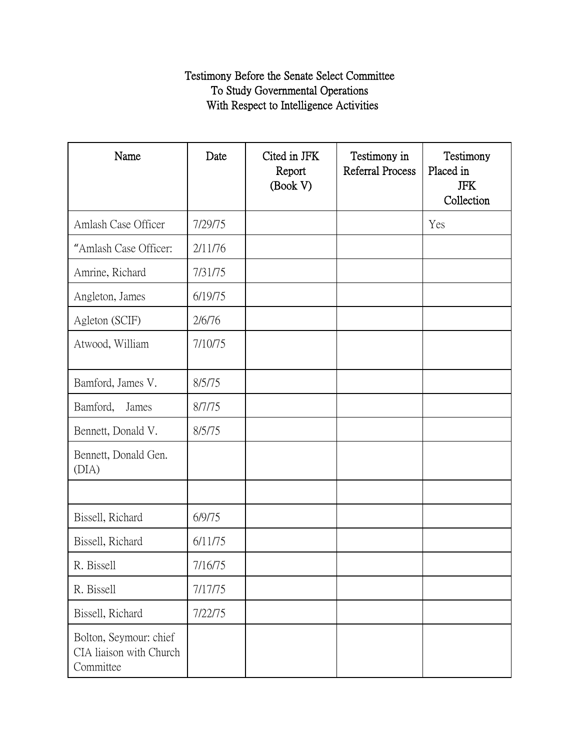## Testimony Before the Senate Select Committee To Study Governmental Operations With Respect to Intelligence Activities

| Name                                                           | Date    | Cited in JFK<br>Report<br>(Book V) | Testimony in<br>Referral Process | Testimony<br>Placed in<br><b>JFK</b><br>Collection |
|----------------------------------------------------------------|---------|------------------------------------|----------------------------------|----------------------------------------------------|
| Amlash Case Officer                                            | 7/29/75 |                                    |                                  | Yes                                                |
| "Amlash Case Officer:                                          | 2/11/76 |                                    |                                  |                                                    |
| Amrine, Richard                                                | 7/31/75 |                                    |                                  |                                                    |
| Angleton, James                                                | 6/19/75 |                                    |                                  |                                                    |
| Agleton (SCIF)                                                 | 2/6/76  |                                    |                                  |                                                    |
| Atwood, William                                                | 7/10/75 |                                    |                                  |                                                    |
| Bamford, James V.                                              | 8/5/75  |                                    |                                  |                                                    |
| Bamford,<br>James                                              | 8/7/75  |                                    |                                  |                                                    |
| Bennett, Donald V.                                             | 8/5/75  |                                    |                                  |                                                    |
| Bennett, Donald Gen.<br>(DIA)                                  |         |                                    |                                  |                                                    |
|                                                                |         |                                    |                                  |                                                    |
| Bissell, Richard                                               | 6/9/75  |                                    |                                  |                                                    |
| Bissell, Richard                                               | 6/11/75 |                                    |                                  |                                                    |
| R. Bissell                                                     | 7/16/75 |                                    |                                  |                                                    |
| R. Bissell                                                     | 7/17/75 |                                    |                                  |                                                    |
| Bissell, Richard                                               | 7/22/75 |                                    |                                  |                                                    |
| Bolton, Seymour: chief<br>CIA liaison with Church<br>Committee |         |                                    |                                  |                                                    |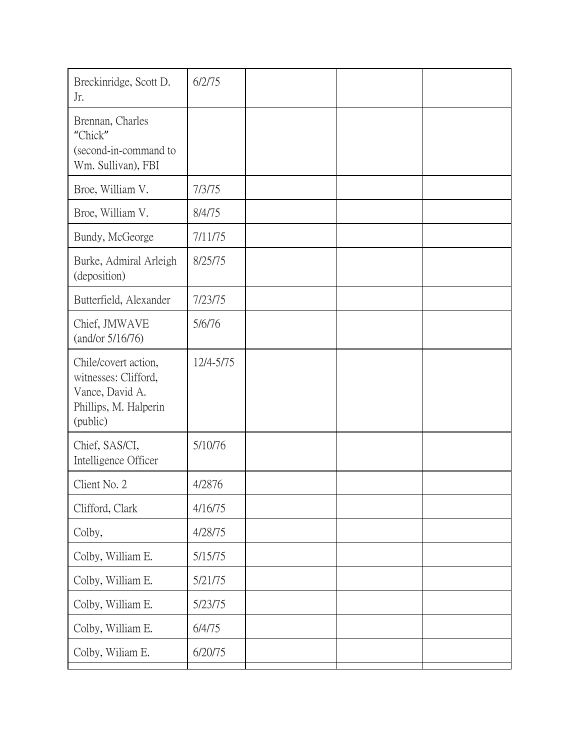| Breckinridge, Scott D.<br>Jr.                                                                        | 6/2/75    |  |  |
|------------------------------------------------------------------------------------------------------|-----------|--|--|
| Brennan, Charles<br>"Chick"<br>(second-in-command to<br>Wm. Sullivan), FBI                           |           |  |  |
| Broe, William V.                                                                                     | 7/3/75    |  |  |
| Broe, William V.                                                                                     | 8/4/75    |  |  |
| Bundy, McGeorge                                                                                      | 7/11/75   |  |  |
| Burke, Admiral Arleigh<br>(deposition)                                                               | 8/25/75   |  |  |
| Butterfield, Alexander                                                                               | 7/23/75   |  |  |
| Chief, JMWAVE<br>(and/or 5/16/76)                                                                    | 5/6/76    |  |  |
| Chile/covert action,<br>witnesses: Clifford,<br>Vance, David A.<br>Phillips, M. Halperin<br>(public) | 12/4-5/75 |  |  |
| Chief, SAS/CI,<br>Intelligence Officer                                                               | 5/10/76   |  |  |
| Client No. 2                                                                                         | 4/2876    |  |  |
| Clifford, Clark                                                                                      | 4/16/75   |  |  |
| Colby,                                                                                               | 4/28/75   |  |  |
| Colby, William E.                                                                                    | 5/15/75   |  |  |
| Colby, William E.                                                                                    | 5/21/75   |  |  |
| Colby, William E.                                                                                    | 5/23/75   |  |  |
| Colby, William E.                                                                                    | 6/4/75    |  |  |
| Colby, Wiliam E.                                                                                     | 6/20/75   |  |  |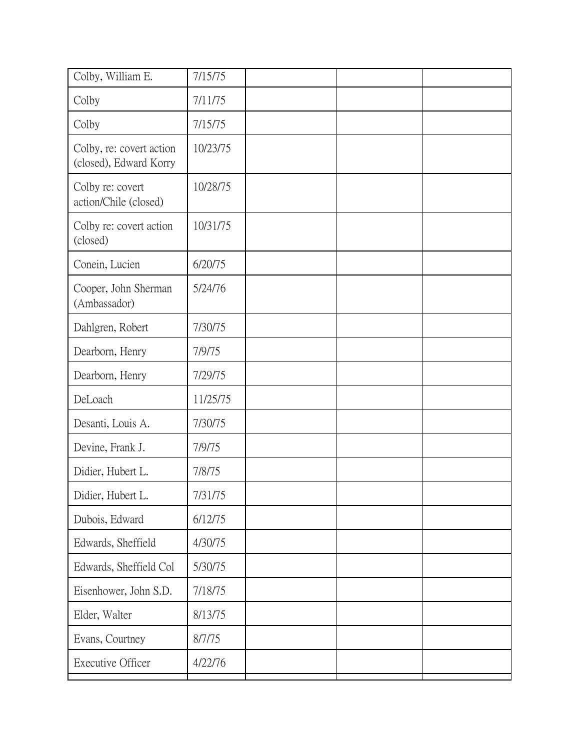| Colby, William E.                                  | 7/15/75  |  |  |
|----------------------------------------------------|----------|--|--|
| Colby                                              | 7/11/75  |  |  |
| Colby                                              | 7/15/75  |  |  |
| Colby, re: covert action<br>(closed), Edward Korry | 10/23/75 |  |  |
| Colby re: covert<br>action/Chile (closed)          | 10/28/75 |  |  |
| Colby re: covert action<br>(closed)                | 10/31/75 |  |  |
| Conein, Lucien                                     | 6/20/75  |  |  |
| Cooper, John Sherman<br>(Ambassador)               | 5/24/76  |  |  |
| Dahlgren, Robert                                   | 7/30/75  |  |  |
| Dearborn, Henry                                    | 7/9/75   |  |  |
| Dearborn, Henry                                    | 7/29/75  |  |  |
| DeLoach                                            | 11/25/75 |  |  |
| Desanti, Louis A.                                  | 7/30/75  |  |  |
| Devine, Frank J.                                   | 7/9/75   |  |  |
| Didier, Hubert L.                                  | 7/8/75   |  |  |
| Didier, Hubert L.                                  | 7/31/75  |  |  |
| Dubois, Edward                                     | 6/12/75  |  |  |
| Edwards, Sheffield                                 | 4/30/75  |  |  |
| Edwards, Sheffield Col                             | 5/30/75  |  |  |
| Eisenhower, John S.D.                              | 7/18/75  |  |  |
| Elder, Walter                                      | 8/13/75  |  |  |
| Evans, Courtney                                    | 8/7/75   |  |  |
| Executive Officer                                  | 4/22/76  |  |  |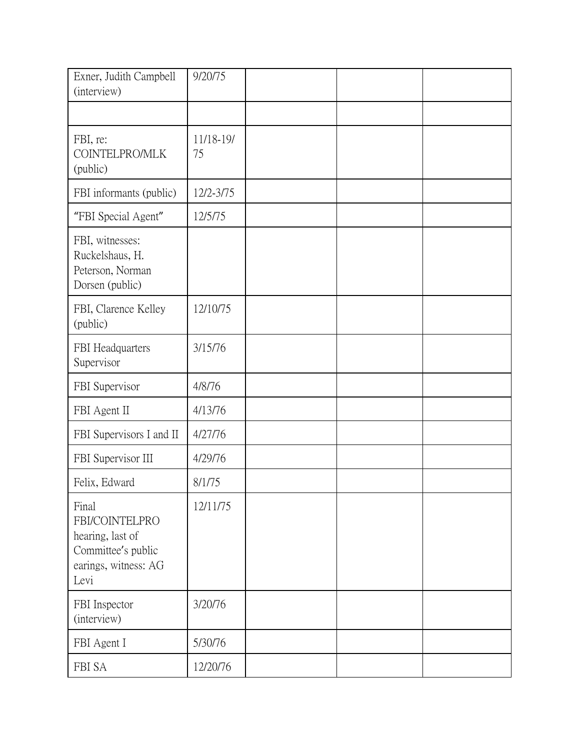| Exner, Judith Campbell<br>(interview)                                                             | 9/20/75         |  |  |
|---------------------------------------------------------------------------------------------------|-----------------|--|--|
|                                                                                                   |                 |  |  |
| FBI, re:<br>COINTELPRO/MLK<br>(public)                                                            | 11/18-19/<br>75 |  |  |
| FBI informants (public)                                                                           | 12/2-3/75       |  |  |
| "FBI Special Agent"                                                                               | 12/5/75         |  |  |
| FBI, witnesses:<br>Ruckelshaus, H.<br>Peterson, Norman<br>Dorsen (public)                         |                 |  |  |
| FBI, Clarence Kelley<br>(public)                                                                  | 12/10/75        |  |  |
| FBI Headquarters<br>Supervisor                                                                    | 3/15/76         |  |  |
| FBI Supervisor                                                                                    | 4/8/76          |  |  |
| FBI Agent II                                                                                      | 4/13/76         |  |  |
| FBI Supervisors I and II                                                                          | 4/27/76         |  |  |
| FBI Supervisor III                                                                                | 4/29/76         |  |  |
| Felix, Edward                                                                                     | 8/1/75          |  |  |
| Final<br>FBI/COINTELPRO<br>hearing, last of<br>Committee's public<br>earings, witness: AG<br>Levi | 12/11/75        |  |  |
| FBI Inspector<br>(interview)                                                                      | 3/20/76         |  |  |
| FBI Agent I                                                                                       | 5/30/76         |  |  |
| FBI SA                                                                                            | 12/20/76        |  |  |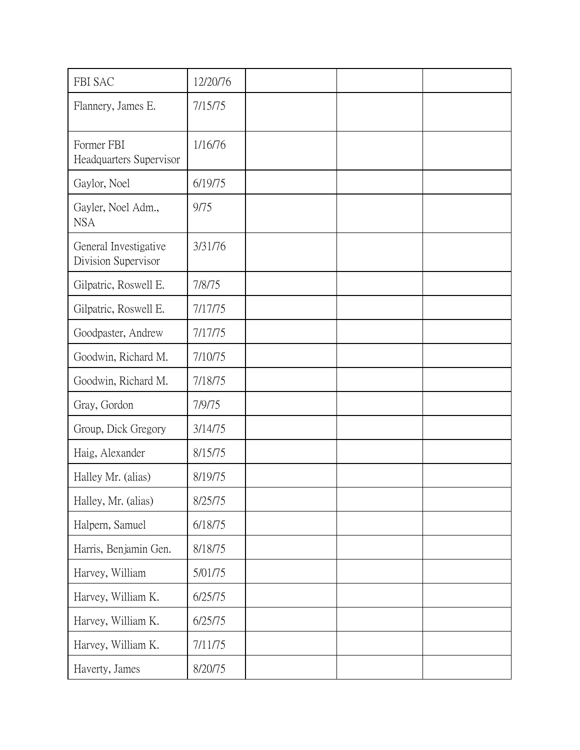| FBI SAC                                      | 12/20/76 |  |  |
|----------------------------------------------|----------|--|--|
| Flannery, James E.                           | 7/15/75  |  |  |
| Former FBI<br>Headquarters Supervisor        | 1/16/76  |  |  |
| Gaylor, Noel                                 | 6/19/75  |  |  |
| Gayler, Noel Adm.,<br><b>NSA</b>             | 9/75     |  |  |
| General Investigative<br>Division Supervisor | 3/31/76  |  |  |
| Gilpatric, Roswell E.                        | 7/8/75   |  |  |
| Gilpatric, Roswell E.                        | 7/17/75  |  |  |
| Goodpaster, Andrew                           | 7/17/75  |  |  |
| Goodwin, Richard M.                          | 7/10/75  |  |  |
| Goodwin, Richard M.                          | 7/18/75  |  |  |
| Gray, Gordon                                 | 7/9/75   |  |  |
| Group, Dick Gregory                          | 3/14/75  |  |  |
| Haig, Alexander                              | 8/15/75  |  |  |
| Halley Mr. (alias)                           | 8/19/75  |  |  |
| Halley, Mr. (alias)                          | 8/25/75  |  |  |
| Halpern, Samuel                              | 6/18/75  |  |  |
| Harris, Benjamin Gen.                        | 8/18/75  |  |  |
| Harvey, William                              | 5/01/75  |  |  |
| Harvey, William K.                           | 6/25/75  |  |  |
| Harvey, William K.                           | 6/25/75  |  |  |
| Harvey, William K.                           | 7/11/75  |  |  |
| Haverty, James                               | 8/20/75  |  |  |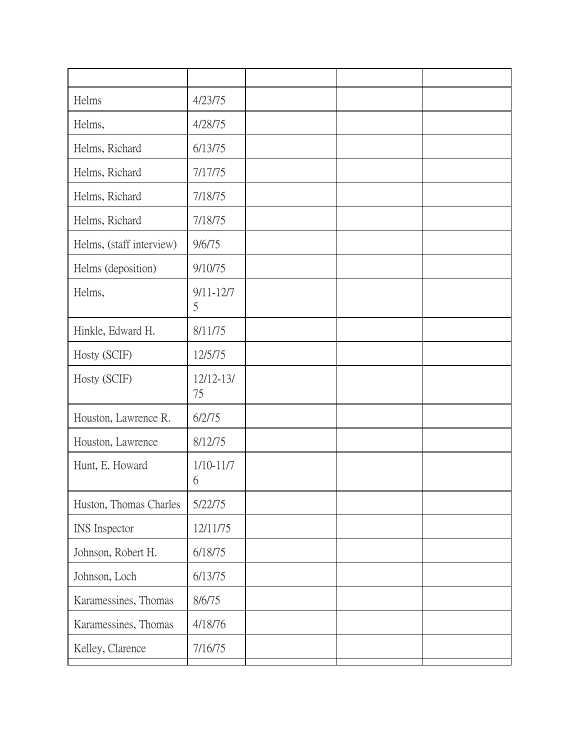| Helms                    | 4/23/75             |  |  |
|--------------------------|---------------------|--|--|
| Helms,                   | 4/28/75             |  |  |
| Helms, Richard           | 6/13/75             |  |  |
| Helms, Richard           | 7/17/75             |  |  |
| Helms, Richard           | 7/18/75             |  |  |
| Helms, Richard           | 7/18/75             |  |  |
| Helms, (staff interview) | 9/6/75              |  |  |
| Helms (deposition)       | 9/10/75             |  |  |
| Helms,                   | $9/11 - 12/7$<br>5  |  |  |
| Hinkle, Edward H.        | 8/11/75             |  |  |
| Hosty (SCIF)             | 12/5/75             |  |  |
| Hosty (SCIF)             | $12/12 - 13/$<br>75 |  |  |
| Houston, Lawrence R.     | 6/2/75              |  |  |
| Houston, Lawrence        | 8/12/75             |  |  |
| Hunt, E. Howard          | $1/10-11/7$<br>6    |  |  |
| Huston, Thomas Charles   | 5/22/75             |  |  |
| INS Inspector            | 12/11/75            |  |  |
| Johnson, Robert H.       | 6/18/75             |  |  |
| Johnson, Loch            | 6/13/75             |  |  |
| Karamessines, Thomas     | 8/6/75              |  |  |
| Karamessines, Thomas     | 4/18/76             |  |  |
| Kelley, Clarence         | 7/16/75             |  |  |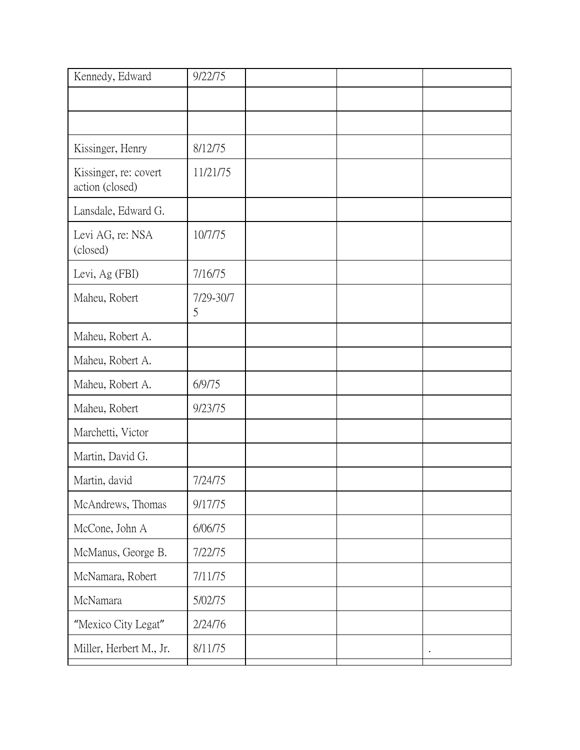| Kennedy, Edward                          | 9/22/75        |  |  |
|------------------------------------------|----------------|--|--|
|                                          |                |  |  |
|                                          |                |  |  |
| Kissinger, Henry                         | 8/12/75        |  |  |
| Kissinger, re: covert<br>action (closed) | 11/21/75       |  |  |
| Lansdale, Edward G.                      |                |  |  |
| Levi AG, re: NSA<br>(closed)             | 10/7/75        |  |  |
| Levi, Ag (FBI)                           | 7/16/75        |  |  |
| Maheu, Robert                            | 7/29-30/7<br>5 |  |  |
| Maheu, Robert A.                         |                |  |  |
| Maheu, Robert A.                         |                |  |  |
| Maheu, Robert A.                         | 6/9/75         |  |  |
| Maheu, Robert                            | 9/23/75        |  |  |
| Marchetti, Victor                        |                |  |  |
| Martin, David G.                         |                |  |  |
| Martin, david                            | 7/24/75        |  |  |
| McAndrews, Thomas                        | 9/17/75        |  |  |
| McCone, John A                           | 6/06/75        |  |  |
| McManus, George B.                       | 7/22/75        |  |  |
| McNamara, Robert                         | 7/11/75        |  |  |
| McNamara                                 | 5/02/75        |  |  |
| "Mexico City Legat"                      | 2/24/76        |  |  |
| Miller, Herbert M., Jr.                  | 8/11/75        |  |  |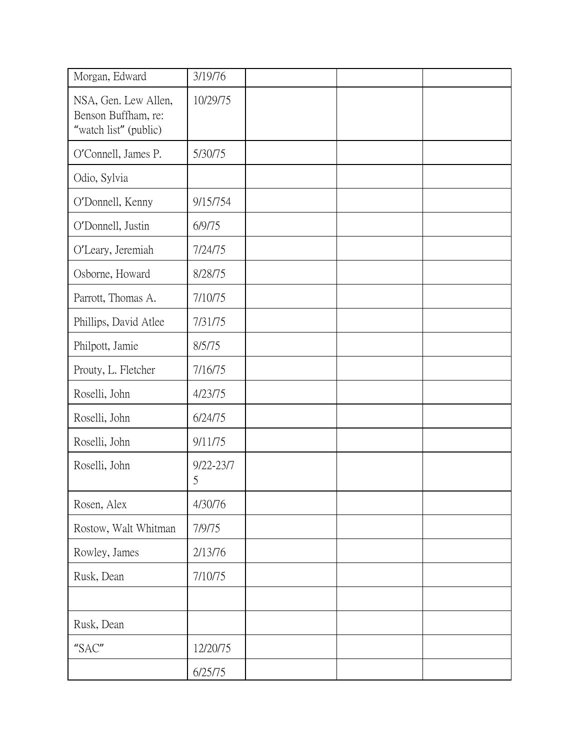| Morgan, Edward                                                       | 3/19/76            |  |  |
|----------------------------------------------------------------------|--------------------|--|--|
| NSA, Gen. Lew Allen,<br>Benson Buffham, re:<br>"watch list" (public) | 10/29/75           |  |  |
| O'Connell, James P.                                                  | 5/30/75            |  |  |
| Odio, Sylvia                                                         |                    |  |  |
| O'Donnell, Kenny                                                     | 9/15/754           |  |  |
| O'Donnell, Justin                                                    | 6/9/75             |  |  |
| O'Leary, Jeremiah                                                    | 7/24/75            |  |  |
| Osborne, Howard                                                      | 8/28/75            |  |  |
| Parrott, Thomas A.                                                   | 7/10/75            |  |  |
| Phillips, David Atlee                                                | 7/31/75            |  |  |
| Philpott, Jamie                                                      | 8/5/75             |  |  |
| Prouty, L. Fletcher                                                  | 7/16/75            |  |  |
| Roselli, John                                                        | 4/23/75            |  |  |
| Roselli, John                                                        | 6/24/75            |  |  |
| Roselli, John                                                        | 9/11/75            |  |  |
| Roselli, John                                                        | $9/22 - 23/7$<br>5 |  |  |
| Rosen, Alex                                                          | 4/30/76            |  |  |
| Rostow, Walt Whitman                                                 | 7/9/75             |  |  |
| Rowley, James                                                        | 2/13/76            |  |  |
| Rusk, Dean                                                           | 7/10/75            |  |  |
|                                                                      |                    |  |  |
| Rusk, Dean                                                           |                    |  |  |
| $" \textsf{SAC}"$                                                    | 12/20/75           |  |  |
|                                                                      | 6/25/75            |  |  |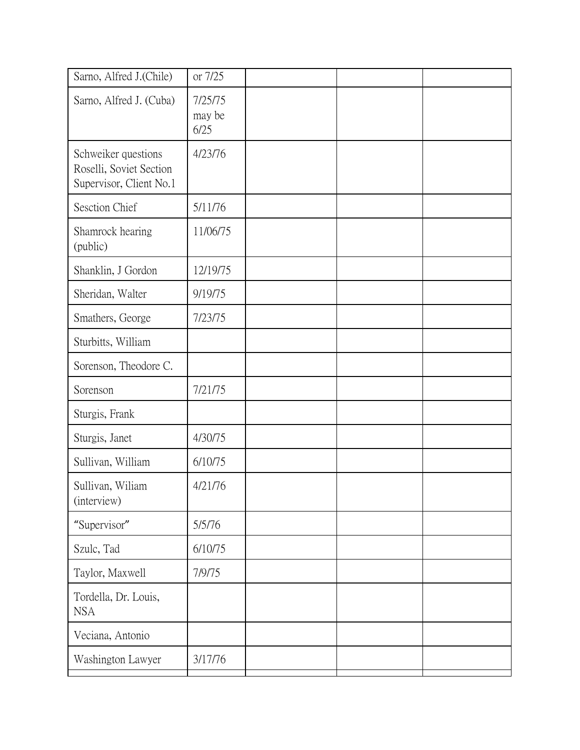| or 7/25                   |  |  |
|---------------------------|--|--|
| 7/25/75<br>may be<br>6/25 |  |  |
| 4/23/76                   |  |  |
| 5/11/76                   |  |  |
| 11/06/75                  |  |  |
| 12/19/75                  |  |  |
| 9/19/75                   |  |  |
| 7/23/75                   |  |  |
|                           |  |  |
|                           |  |  |
| 7/21/75                   |  |  |
|                           |  |  |
| 4/30/75                   |  |  |
| 6/10/75                   |  |  |
| 4/21/76                   |  |  |
| 5/5/76                    |  |  |
| 6/10/75                   |  |  |
| 7/9/75                    |  |  |
|                           |  |  |
|                           |  |  |
| 3/17/76                   |  |  |
|                           |  |  |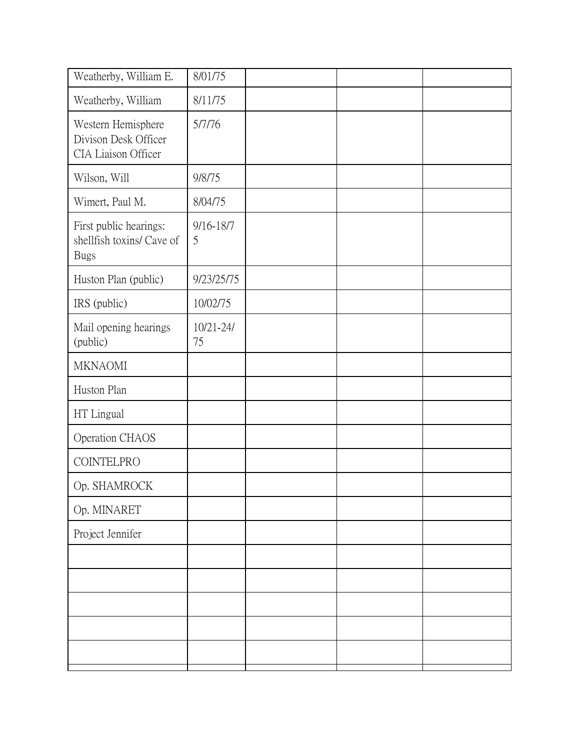| Weatherby, William E.                                              | 8/01/75             |  |  |
|--------------------------------------------------------------------|---------------------|--|--|
| Weatherby, William                                                 | 8/11/75             |  |  |
| Western Hemisphere<br>Divison Desk Officer<br>CIA Liaison Officer  | 5/7/76              |  |  |
| Wilson, Will                                                       | 9/8/75              |  |  |
| Wimert, Paul M.                                                    | 8/04/75             |  |  |
| First public hearings:<br>shellfish toxins/ Cave of<br><b>Bugs</b> | 9/16-18/7<br>5      |  |  |
| Huston Plan (public)                                               | 9/23/25/75          |  |  |
| IRS (public)                                                       | 10/02/75            |  |  |
| Mail opening hearings<br>(public)                                  | $10/21 - 24/$<br>75 |  |  |
| <b>MKNAOMI</b>                                                     |                     |  |  |
| Huston Plan                                                        |                     |  |  |
| HT Lingual                                                         |                     |  |  |
| Operation CHAOS                                                    |                     |  |  |
| COINTELPRO                                                         |                     |  |  |
| Op. SHAMROCK                                                       |                     |  |  |
| Op. MINARET                                                        |                     |  |  |
| Project Jennifer                                                   |                     |  |  |
|                                                                    |                     |  |  |
|                                                                    |                     |  |  |
|                                                                    |                     |  |  |
|                                                                    |                     |  |  |
|                                                                    |                     |  |  |